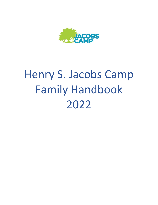

# Henry S. Jacobs Camp Family Handbook 2022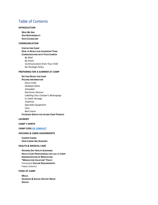# Table of Contents

#### **[INTRODUCTION](#page-2-0)**

**W[HO](#page-2-1) WE ARE OUR R[ESPONSIBILITY](#page-2-2) OUR C[OUNSELORS](#page-3-0)**

#### **[COMMUNICATION](#page-3-1)**

**CONTACTING CAMP HOW TO REACH OUR L[EADERSHIP](#page-3-2) TEAM C[OMMUNICATING WITH](#page-4-0) YOUR CAMPER** *[By Mail](#page-4-1) [By Email](#page-4-2) [Communication from Your Child](#page-4-3) [No Package Policy](#page-5-0)*

#### **PREPARING FOR [A SUMMER AT CAMP](#page-5-1)**

#### **GETTING R[EADY FOR](#page-5-2) CAMP**

| <b>PACKING INFORMATION</b>                    |
|-----------------------------------------------|
| Dress Code                                    |
| Shabbat Attire                                |
| Valuables                                     |
| <b>Flectronic Devices</b>                     |
| Labeling Your Camper's Belongings             |
| In-Cabin Storage                              |
| Toiletries                                    |
| Specialty Equipment                           |
| Fans                                          |
| Bed Linens                                    |
| <b>FACEBOOK GROUP FOR JACOBS CAMP PARENTS</b> |

#### **[LAUNDRY](#page-8-2)**

#### **CAMP T-SHIRTS**

#### **[CAMP CODE](#page-8-3) OF CONDUCT**

#### **[HOUSING & CABIN ASSIGNMENTS](#page-9-0)**

**C[AMPER](#page-9-1) CABINS HOW CABINS ARE A[SSIGNED](#page-9-2)**

#### **[HEALTH & MEDICAL CARE](#page-10-0)**

**OPENING DAY HEALTH S[CREENING](#page-10-1) HEALTH CARE P[ROFESSIONALS ON](#page-10-2)-CALL AT CAMP A[DMINISTRATION OF](#page-10-3) MEDICATION "M[EDICATION](#page-10-4) VACATION" POLICY** CHILDHOOD **VACCINE R[EQUIREMENTS](#page-11-0)** FAMILY CONTACT

#### **[FOOD AT CAMP](#page-11-1)**

**M[EALS](#page-11-2) A[LLERGIES](#page-11-3) & SPECIAL DIETARY NEEDS S[NACKS](#page-11-4)**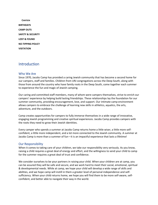**C[ANTEEN](#page-11-5) [BIRTHDAYS](#page-11-6) CAMP OUTS [SAFETY & SECURITY](#page-12-0) [LOST & FOUND](#page-12-1) [NO-TIPPING POLICY](#page-12-2) [VISITATION](#page-12-3)**

## <span id="page-2-0"></span>**Introduction**

#### <span id="page-2-1"></span>Who We Are

Since 1970, Jacobs Camp has provided a caring Jewish community that has become a second home for our campers, staff and families. Children from URJ congregations across the Deep South, along with those from around the country who have family roots in the Deep South, come together each summer to experience the fun and magic of Jewish camping.

Our caring and committed staff members, many of whom were campers themselves, strive to enrich our campers' experience by helping build lasting friendships. These relationships lay the foundation for our summer community, providing encouragement, love, and support. Our intimate camp environment allows campers to embrace the challenge of learning new skills in athletics, aquatics, the arts, adventure, and the outdoors.

Camp creates opportunities for campers to fully immerse themselves in a wide range of innovative, engaging Jewish programming and creative spiritual experiences. Jacobs Camp provides campers with the roots they need to grow their Jewish identities.

Every camper who spends a summer at Jacobs Camp returns home a little wiser, a little more selfconfident, a little more independent, and a lot more connected to the Jewish community. A summer at Jacobs Camp is more than a summer of fun—it is an impactful experience that lasts a lifetime!

#### <span id="page-2-2"></span>Our Responsibility

When it comes to taking care of your children, we take our responsibility very seriously. As you know, raising a child requires a great deal of energy and effort, and the willingness to send your child to camp for the summer requires a great deal of trust and confidence.

We consider ourselves to be your partners in raising your child. When your children are at camp, you can be assured they will be safe and secure, and we work hard to meet their social, emotional, spiritual & developmental needs. While at camp, we hope your child will develop a wide range of skills and abilities, and we hope camp will instill in them a greater level of personal independence and selfsufficiency. When your child returns home, we hope you will find them to be more self-aware, selfconfident, and better able to navigate their way in the world.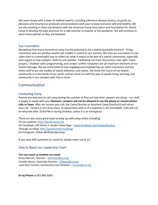We work closely with a team of medical experts, including infectious disease doctors, to guide our decisions and revamp our protocols and procedures each year to keep everyone safe and healthy. We are also working in close coordination with the American Camp Association and Foundation for Jewish Camp to develop the best practices for a safe summer in relation to the pandemic. We will continue to share these policies as they are finalized.

## <span id="page-3-0"></span>Our Counselors

We believe that every moment at camp has the potential to be a Jewish teachable moment. Hiring counselors who are positive Jewish role models is central to our mission. We train our counselors to use cabin time in a meaningful way to reflect on what it means to be part of a Jewish community, especially with regard to how campers relate to one another. Facilitating rest hour discussions, late night "cabin prayers," Shabbat cabin programming, and camper conflict resolution are all important elements of our Jewish message. We are committed to fully engaging and empowering our cabin counselors and our entire staff to be role models of Jewish behaviors and values. We know the future of our Jewish community is in the hands of our youth, and we strive to instill the joys of Jewish living, learning, and community in our campers with that in mind.

# <span id="page-3-1"></span>**Communication**

## Contacting Camp

Parents are welcome to call camp during the summer to find out how their campers are doing – our staff is happy to speak with you! **However, campers will not be allowed to use the phone or receive phone calls or faxes.** After we receive your call, the Camp Director or Assistant Camp Director(s) will return your call. Camp is a very busy place, so please bear with us if a response is not immediate. Calls will not be returned after 10:00 PM or during Shabbat, unless it is an emergency.

There are also many great ways to keep up with camp online including**:**  On our website: [http://jacobscamp.org](http://jacobscamp.org/) On Facebook: URJ Henry S. Jacobs Camp Page – [www.facebook.com/urjjacobscamp](http://www.facebook.com/urjjacobscamp) Through our Blog:<http://jacobscamp.org/blog/> On Instagram: Follow @URJJacobsCamp

If you have ANY questions or concerns, please reach out to us!

## <span id="page-3-2"></span>How to Reach our Leadership Team

**You can reach us anytime via email:**  Anna Herman, Director – [aherman@urj.org](mailto:aherman@urj.org) Carolyn Harari, Associate Director - [CHarari@urj.org](mailto:CHarari@urj.org) Leah Hart Tennen, Community Care Director - [hsjcare@urj.org](mailto:hsjcare@urj.org)

**Or by Phone** at 601-885-6042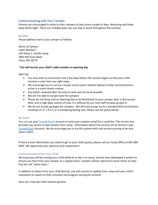## <span id="page-4-0"></span>Communicating with Your Camper

Parents are encouraged to write to their campers at least every couple of days. Receiving mail helps keep spirits high! There are multiple ways you can stay in touch throughout the summer.

#### <span id="page-4-1"></span>By Mail

Please address mail to your camper as follows:

*Name of Camper Cabin Number\* URJ Henry S. Jacobs Camp 3863 Morrison Road Utica, MS 39175* 

#### \**You will receive your child's cabin number on opening day*

Mail tips:

- You may want to send some mail a few days before the session begins so that your child receives a note from you right away.
- We encourage you to use our camper email system (details below) to help communications arrive in a more timely manner.
- Any letters received after the end of camp will not be forwarded.
- We are not able to accept faxes for campers
- Please do not bring mail on Opening Day to be distributed to your camper later in the session. With such a high daily volume of mail, it is difficult for our mail staff to keep up with it.
- We do not accept packages for campers. We will only accept up to a standard #10 size business envelope (4  $\frac{1}{2}$  x 9  $\frac{1}{2}$ ) or a standard greeting card. Please see full policy below.

#### <span id="page-4-2"></span>By Email

You can use you[r CampInTouch](https://urjjacobs.campintouch.com/) account to send your campers email for a small fee. This service also provides you access to daily photos from camp. Information about this service can be found in your [CampInTouch](https://urjjacobs.campintouch.com/) Account. We do encourage you to try this system with mail service proving to be very slow in 2021.

If there is ever information you need to get to your child quickly, please call our Camp Office at 601-885- 6042. We appreciate your patience and cooperation!

#### <span id="page-4-3"></span>Communication from Your Child

We know you will be missing your child while he or she is at camp, and we have developed a system to ensure you hear from your camper on a regular basis. Campers will be required to write home on days that we call "Letter Days."

In addition to letters from your child directly, you will receive an update from camp and your child's counselors to report on their activities and progress during the summer.

Here are a few tips from veteran parents: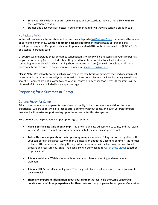- Send your child with pre-addressed envelopes and postcards as they are more likely to make their way home to you.
- Stamps and envelopes last better in our summer humidity if they are sent in a zip-lock bag.

#### <span id="page-5-0"></span>No Package Policy

In the last few years, after much reflection, we have adapted a  $No$  [Package Policy](https://jacobscamp.org/wp-content/uploads/sites/17/2022/03/Jacobs-Camp-NO-Package-Policy.pdf) that mirrors the values of our camp community. **We do not accept packages at camp,** including boxes or large mailing envelopes of any size. Camp will only accept up to a standard #10 size business envelope (4 ¼" x 9 ½") or a standard greeting card.

Of course, we understand that sometimes sending items to camp will be necessary. If your camper has forgotten something (such as a teddy bear they need to feel comfortable to fall asleep) or needs something to be replaced (such as running shoes or more sunscreen), you will be able to mail these necessary items to camp. To do so, you **must** email us at [jacobstemp@urj.org.](mailto:jacobstemp@urj.org)

**Please Note:** We will only accept packages on a case-by-case basis; all packages received at camp must be communicated to us via email *prior* to its arrival. If we do not know a package is coming, we will not accept it. Campers are not allowed to receive gum, candy, or any other food items. These items will be disposed of if they are included in a camper package.

# <span id="page-5-1"></span>Preparing for a Summer at Camp

#### <span id="page-5-2"></span>Getting Ready for Camp

Prior to the summer, you as parents have the opportunity to help prepare your child for the camp experience! We are all returning to Jacobs after a summer without camp, and even veteran campers may need a little extra support leading up to the session after this strange year.

Here are our tips help set your camper up for a great summer:

- **Have a positive attitude about camp!** This is key to an easy adjustment to camp, and that starts with you! This is true not only for new campers, but for veteran campers as well.
- **Talk with your camper about their upcoming camp experience.** Filling out forms together with your camper can be a great way to open up discussion about the upcoming summer. It is normal to feel a little nervous and talking through what the summer will be like is a great way to help prepare and reassure your child. You can also visit our website to [watch these videos](https://jacobscamp.org/about/watch-our-videos/) together to get excited!
- **Join our webinars!** Watch your emails for invitations to our returning and new camper webinars.
- **Join our HSJ Parents Facebook group.** This is a great place to ask questions of veteran parents on any topic!
- **Share any important information about your camper that will help the Camp Leadership create a successful camp experience for them.** We ask that you please be as *open and honest* as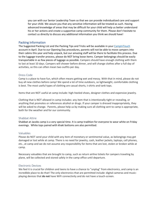you can with our Senior Leadership Team so that we can provide individualized care and support for your child. We assure you that any sensitive information will be treated as such. Having advanced knowledge of areas that may be difficult for your child will help us better understand his or her actions and create a supportive camp community for them. Please don't hesitate to contact us directly to discuss any additional information you think we should have!

#### <span id="page-6-0"></span>Packing Information

The Suggested Packing List and the Packing Tips and Tricks will be available in your [CampInTouch](https://urjjacobs.campintouch.com/) account in April. Due to our Opening Day procedures, parents will not be able to move campers into their cabins this year and help unpack, but our amazing staff will be there to facilitate this process. Due to the luggage transfer process, please do NOT bring loose items. Camper belongings should be easily transportable in as few pieces of luggage as possible. Campers should have enough clothing with them to last at least 10 days. Campers will shower before dinner, and will change clothes after a full day of activities, so this can often mean two outfits per day.

#### <span id="page-6-1"></span>Dress Code

Camp is a place to have fun, which often means getting wet and messy. With that in mind, please do not buy all new clothes before camp! We spend a lot of time outdoors, so lightweight, comfortable clothing is best. The most useful types of clothing are casual shorts, t-shirts and tank tops.

Items that are NOT useful at camp include: high-heeled shoes, designer clothes and expensive jewelry.

Clothing that is NOT allowed in camp includes: any item that is intentionally tight or revealing, or anything that promotes or references alcohol or drugs. If your camper is dressed inappropriately, they will be asked to change. Parents, please help us by making sure all clothing sent to camp is appropriate, both for the weather and for our community.

#### <span id="page-6-2"></span>Shabbat Attire

Shabbat at Jacobs camp is a very special time. It is camp tradition for everyone to wear white on Friday evenings. White tops paired with khaki bottoms are also permitted.

#### <span id="page-6-3"></span>Valuables

Please do NOT send your child with any item of monetary or sentimental value, as belongings may get damaged or lost while at camp. There is no need for jewelry, cash, leather jackets, laptops, cell phones, etc., at camp and we do not assume any responsibility for items that are lost, stolen or broken while at camp.

Necessary valuables that are brought to camp, such as return airline tickets for campers traveling by plane, will be collected and stored safely in the camp office until departure.

#### <span id="page-6-4"></span>Electronic Devices

We feel it is crucial for children and teens to have a chance to "unplug" from electronics, and camp is an incredible place to do that! The only electronics that are permitted include: digital cameras and musicplaying devices that **do not** have WiFi connectivity and do not have a touch-screen.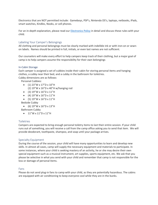Electronics that are NOT permitted include: Gameboys, PSP's, Nintendo DS's, laptops, netbooks, iPads, smart watches, Kindles, Nooks, or cell phones.

For an in-depth explanation, please read our [Electronics Policy](https://jacobscamp.org/wp-content/uploads/sites/17/2022/03/JACOBS-CAMP-ELECTRONICS-POLICY.pdf) in detail and discuss these rules with your child.

#### <span id="page-7-0"></span>Labeling Your Camper's Belongings

All clothing and personal belongings must be clearly marked with indelible ink or with iron-on or sewnon labels. Names should be printed in full, initials, or even last names are not sufficient.

Our counselors will make every effort to help campers keep track of their clothing, but a major goal of camp is to help campers assume the responsibility for their own belongings

#### <span id="page-7-1"></span>In-Cabin Storage

Each camper is assigned a set of cubbies inside their cabin for storing personal items and hanging clothes, a cubby near their bed, and a cubby in the bathroom for toiletries. Cubby dimensions are as follows:

Personal Cubbies:

- $(1)$  23"W x 17"D x 10"H
- (2) 19"W x 16"D x 40"H w/hanging rod
- $(3) 19''W \times 16''D \times 11''H$
- $(4) 19''W \times 16''D \times 11''H$
- $(5) 19''W \times 16''D \times 11''H$
- Bedside Cubby
	- $(6) 19''W \times 16''D \times 13''H$
- Bathroom Cubby
	- 11"W x 11"D x 11"H

#### <span id="page-7-2"></span>**Toiletries**

Campers are expected to bring enough personal toiletry items to last their entire session. If your child runs out of something, you will receive a call from the camp office asking you to send that item. We will provide deodorant, toothpaste, shampoo, and soap until your package arrives.

#### <span id="page-7-3"></span>Specialty Equipment

During the course of the session, your child will have many opportunities to learn and develop new skills. In almost all cases, camp will supply the necessary equipment and materials to participate. In some instances, where your child is seeking mastery of an activity, he or she may desire their own special equipment such as a musical instrument, art supplies, sports equipment, etc. We ask that you please be selective in what you send with your child and remember that camp is not responsible for the loss or damage of personal items.

#### <span id="page-7-4"></span>Fans

Please do not send plug-in fans to camp with your child, as they are potentially hazardous. The cabins are equipped with air conditioning to keep everyone cool while they are in the bunks.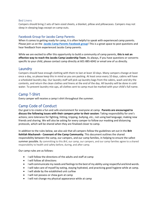#### <span id="page-8-0"></span>Bed Linens

Campers should bring 2 sets of twin-sized sheets, a blanket, pillow and pillowcases. Campers may not sleep in sleeping bags except on camp-outs.

## <span id="page-8-1"></span>Facebook Group for Jacobs Camp Parents

When it comes to getting ready for camp, it is often helpful to speak with experienced camp parents. Please join us on the **[Jacobs Camp Parents Facebook group](https://www.facebook.com/groups/191943744625851/)**! This is a great space to post questions and hear feedback from experienced Jacobs Camp parents.

While we are excited to offer this opportunity to build a community of camp parents, **this is not an effective way to reach the Jacobs Camp Leadership Team.** As always, if you have questions or concerns specific to your child, please contact camp directly at 601-885-6042 or email one of us directly.

## <span id="page-8-2"></span>Laundry

Campers should have enough clothing with them to last at least 10 days. Many campers change at least once a day, so please keep this in mind as you are packing. At least once every 10 days, cabins will have a scheduled laundry day. Our laundry staff will pick-up laundry bags from the cabins, wash and dry the contents, and return the clean clothes and linens at the end of the day. All laundry will be done in cold water. To prevent laundry mix-ups, all clothes sent to camp must be marked with your child's full name.

# Camp T-Shirt

<span id="page-8-3"></span>Every camper will receive a camp t-shirt throughout the summer.

# Camp Code of Conduct

Our goal is to create a fun and safe environment for everyone at camp. **Parents are encouraged to discuss the following issues with their campers prior to their session:** Taking responsibility for one's actions; zero tolerance for fighting, hitting, tripping, bullying, etc.; not using bad language; making new friends and sharing. We will also be asking for every camper to follow our masking and distancing protocols, which will be shared when they are finalized closer to camp.

In addition to the rules below, we also ask that all campers follow the guidelines set out in the **Brit Kehilah Machaneh - Covenant of the Camp Community.** This document outlines the shared responsibility between the camp, our campers, and our camp families, in helping to ensure the safest summer possible. By committing to this *Brit*, our camp, our campers, and our camp families agree to a shared responsibility to health and safety before, during, and after camp.

Our camp rules are as follows:

- I will follow the directions of the adults and staff at camp
- I will follow all directions
- I will communicate my needs and feelings to the best of my ability using respectful and kind words.
- I will take care of myself by eating, staying hydrated, and practicing good hygiene while at camp.
- I will abide by the established unit curfew
- I will not possess or chew gum at camp
- I will not change my physical appearance while at camp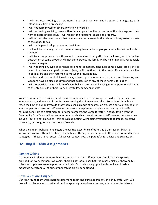- I will not wear clothing that promotes liquor or drugs, contains inappropriate language, or is intentionally tight or revealing.
- I will not harm myself or others, physically or verbally
- I will be sharing my living space with other campers. I will be respectful of their feelings and their right to express themselves. I will respect their personal space and property.
- I will respect the camp policy that campers are not allowed in the cabins or living areas of those of the opposite sex.
- I will participate in all programs and activities.
- I will not leave campgrounds or wander away from or leave groups or activities without a staff member.
- I will treat camp property with respect. I understand that graffiti is not allowed, and that willful destruction of camp property will not be tolerated. My family will be held financially responsible for any damages.
- I will not bring any type of personal cell phone, computer, hand-held game device, tablet, etc. to camp. If I arrive at camp with these objects, I will turn them into the camp office where they'll be kept in a safe and then returned to me when I return home.
- I understand that alcohol, illegal drugs, tobacco products or any kind, matches, fireworks, and weapons have no place at camp and that possession of any of these items is forbidden.
- I will not participate in any form of cyber bullying after camp by using my computer or cell phone to threaten, insult, or harass any of my fellow campers or staff.

We are committed to providing a safe camp community where our campers can develop self-esteem, independence, and a sense of comfort in expressing their inner-most selves. Sometimes though, we reach the limit of our ability to do that when a child's mode of expression crosses a certain threshold. If your camper demonstrates self-harming behaviors or expresses thoughts about engaging in selfharming behaviors to a staff member or other campers, the Camp Director, in consultation with the Community Care Team, will assess whether your child can remain at camp. Self-harming behaviors may include—but are not limited to—things such as cutting, withholding/restricting food intake, excessive scratching, or thoughts or expressions of suicide.

When a camper's behavior endangers the positive experience of others, it is our responsibility to intervene. We will attempt to change the behavior through discussions and other behavior modification strategies. If these are not successful, we will contact you, the parent(s), for advice and suggestions.

# <span id="page-9-0"></span>Housing & Cabin Assignments

## <span id="page-9-1"></span>Camper Cabins

A camper cabin sleeps no more than 13 campers and 2-3 staff members. Ample storage space is provided for every camper. Two cabins share a bathroom; each bathroom has 7 sinks, 7 showers, & 6 toilets. All top bunks are equipped with bed rails. Each cabin is equipped with smoke and carbon monoxide detectors. All of our camper cabins are air-conditioned.

#### <span id="page-9-2"></span>How Cabins Are Assigned

Our year-round team works hard to determine cabin and bunk assignments in a thoughtful way. We take a lot of factors into consideration: the age and grade of each camper, where he or she is from,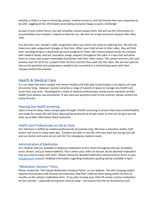whether a child is a new or returning camper, medical concerns, and the friends they have requested to be with. Juggling all this information and making everyone happy is quite a challenge!

As part of your online forms, you will complete a bunk request form. We will use this information to accommodate your camper's request as best we can. We will not accept any bunk requests after May 15th.

You will learn your camper's cabin assignment when you check into camp on Opening Day. We will not make any cabin assignment changes at that time. When your child arrives to their cabin, they will find their nametag hung on a bunk that we have assigned for them. We reserve bottom bunks for campers with medical needs, and our counselors assign campers throughout the cabin in a way that will allow them to create and sustain meaningful friendships with their cabin-mates. This system ensures a fair and positive start for all of our campers from the first moment they walk into the cabin. We ask that parents discuss the positivity and cooperation needed to be successful in a shared living space with their campers before the summer.

# <span id="page-10-0"></span>Health & Medical Care

It is our hope that every camper will remain healthy and fully-able to participate in all aspects of camp all summer long. However, Jacobs Camp has a range of systems in place to manage any health care issues that may arise. Developed by a team of medical professionals, Jacobs Camp maintains written Health Care policies and procedures. If you have any questions prior to the summer, please contact the Camp Director.

#### <span id="page-10-1"></span>Opening Day Health Screening

Upon arrival at camp, every camper goes through a health screening to ensure they have arrived healthy and ready for camp! We will share Opening Day protocols as we get closer so that we can give you the most up to date information about protocols.

#### <span id="page-10-2"></span>Health Care Professionals on-call at Camp

Our infirmary is staffed by medical professionals all summer long. We have a volunteer and/or staff doctor and nurse in camp every day. Campers are able to visit the Infirmary each day during sick call, and our doctor and nurse are on-call 24/7 for emergency medical needs.

## <span id="page-10-3"></span>Administration of Medication

Our medical staff are available to dispense medication at four times throughout the day: breakfast, lunch, dinner, and just before bedtime. This is when your child can receive all pre-planned medication that you send to camp with them. Please review the detailed medication administration forms in your [CampInTouch](https://urjjacobs.campintouch.com/) account. Detailed information regarding medication packing will be available in April.

#### <span id="page-10-4"></span>"Medication Vacation" Policy

Please review the "URJ Camps Medication Vacation Policy" on our website. The URJ Camping system requires that parents fully disclose all medication that their child has been taking within the last six months on the camper medication form. If you plan to keep your child off certain routine medication for the summer – especially during their time at camp – we require that this be disclosed as well.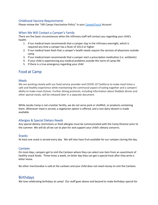## <span id="page-11-0"></span>Childhood Vaccine Requirements

Please review the "URJ Camps Vaccination Policy" in your [CampInTouch](https://urjjacobs.campintouch.com/) Account

## When We Will Contact a Camper's Family

There are five basic circumstances when the infirmary staff will contact you regarding your child's health:

- 1. If our medical team recommends that a camper stay in the infirmary overnight, which is required any time a camper has a fever of 101.0 or higher
- 2. If our medical team feels that a camper's health needs require the services of physicians outside camp
- 3. If our medical team recommends that a camper start a prescription medication (i.e. antibiotic)
- 4. If your child is experiencing any medical problems outside the norm of camp-life
- 5. If there is a true emergency regarding your child

## <span id="page-11-1"></span>Food at Camp

#### <span id="page-11-2"></span>Meals

We are working closely with our food service provider and COVID-19 Taskforce to make meal times a safe and healthy experience while maintaining the communal aspect of eating together and a campers' ability to make meal choices. Further dining protocols, including information about Shabbat dinner and other special meals, will be released later in a separate document.

While Jacobs Camp is not a kosher facility, we do not serve pork or shellfish, or products containing them. Whenever meat is served, a vegetarian option is offered, and a non-dairy dessert is made available.

#### <span id="page-11-3"></span>Allergies & Special Dietary Needs

Any special dietary restrictions or food allergies must be communicated with the Camp Director prior to the summer. We will do all we can to plan for and support your child's dietary concerns.

#### <span id="page-11-4"></span>**Snacks**

At least one snack is served every day. We will also have fruit available for our campers during the day.

#### <span id="page-11-5"></span>Canteen

On most days, campers get to visit the Canteen where they can select one item from an assortment of healthy snack foods. Three times a week, on letter day they can get a special treat after they write a letter home.

No other merchandise is sold at the canteen and your child does not need money to visit the Canteen.

## <span id="page-11-6"></span>**Birthdays**

We love celebrating birthdays at camp! Our staff goes above and beyond to make birthdays special for